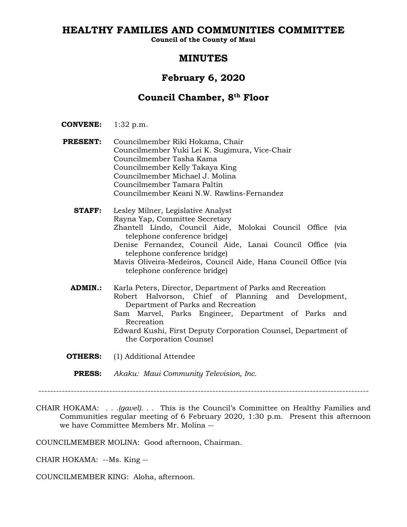## **HEALTHY FAMILIES AND COMMUNITIES COMMITTEE**

**Council of the County of Maui**

## **MINUTES**

# **February 6, 2020**

# **Council Chamber, 8th Floor**

- **CONVENE:** 1:32 p.m.
- **PRESENT:** Councilmember Riki Hokama, Chair Councilmember Yuki Lei K. Sugimura, Vice-Chair Councilmember Tasha Kama Councilmember Kelly Takaya King Councilmember Michael J. Molina Councilmember Tamara Paltin Councilmember Keani N.W. Rawlins-Fernandez
	- **STAFF:** Lesley Milner, Legislative Analyst Rayna Yap, Committee Secretary Zhantell Lindo, Council Aide, Molokai Council Office (via telephone conference bridge) Denise Fernandez, Council Aide, Lanai Council Office (via telephone conference bridge) Mavis Oliveira-Medeiros, Council Aide, Hana Council Office (via telephone conference bridge)
	- **ADMIN.:** Karla Peters, Director, Department of Parks and Recreation Robert Halvorson, Chief of Planning and Development, Department of Parks and Recreation Sam Marvel, Parks Engineer, Department of Parks and Recreation Edward Kushi, First Deputy Corporation Counsel, Department of the Corporation Counsel
- **OTHERS:** (1) Additional Attendee
	- **PRESS:** *Akaku: Maui Community Television, Inc.*

CHAIR HOKAMA: *. . .(gavel). . .* This is the Council's Committee on Healthy Families and Communities regular meeting of 6 February 2020, 1:30 p.m. Present this afternoon we have Committee Members Mr. Molina --

COUNCILMEMBER MOLINA: Good afternoon, Chairman.

CHAIR HOKAMA: --Ms. King --

COUNCILMEMBER KING: Aloha, afternoon.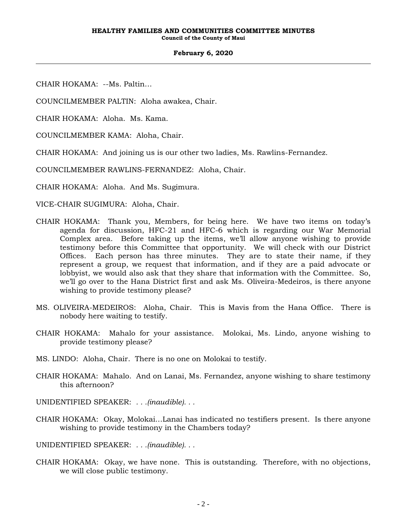CHAIR HOKAMA: --Ms. Paltin…

COUNCILMEMBER PALTIN: Aloha awakea, Chair.

CHAIR HOKAMA: Aloha. Ms. Kama.

COUNCILMEMBER KAMA: Aloha, Chair.

CHAIR HOKAMA: And joining us is our other two ladies, Ms. Rawlins-Fernandez.

COUNCILMEMBER RAWLINS-FERNANDEZ: Aloha, Chair.

CHAIR HOKAMA: Aloha. And Ms. Sugimura.

VICE-CHAIR SUGIMURA: Aloha, Chair.

- CHAIR HOKAMA: Thank you, Members, for being here. We have two items on today's agenda for discussion, HFC-21 and HFC-6 which is regarding our War Memorial Complex area. Before taking up the items, we'll allow anyone wishing to provide testimony before this Committee that opportunity. We will check with our District Offices. Each person has three minutes. They are to state their name, if they represent a group, we request that information, and if they are a paid advocate or lobbyist, we would also ask that they share that information with the Committee. So, we'll go over to the Hana District first and ask Ms. Oliveira-Medeiros, is there anyone wishing to provide testimony please?
- MS. OLIVEIRA-MEDEIROS: Aloha, Chair. This is Mavis from the Hana Office. There is nobody here waiting to testify.
- CHAIR HOKAMA: Mahalo for your assistance. Molokai, Ms. Lindo, anyone wishing to provide testimony please?
- MS. LINDO: Aloha, Chair. There is no one on Molokai to testify.
- CHAIR HOKAMA: Mahalo. And on Lanai, Ms. Fernandez, anyone wishing to share testimony this afternoon?
- UNIDENTIFIED SPEAKER: *. . .(inaudible). . .*
- CHAIR HOKAMA: Okay, Molokai…Lanai has indicated no testifiers present. Is there anyone wishing to provide testimony in the Chambers today?

UNIDENTIFIED SPEAKER: *. . .(inaudible). . .*

CHAIR HOKAMA: Okay, we have none. This is outstanding. Therefore, with no objections, we will close public testimony.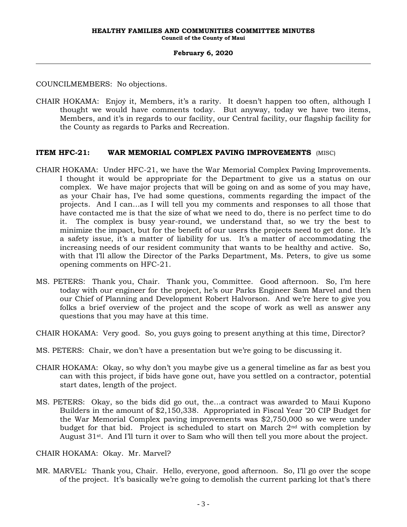COUNCILMEMBERS: No objections.

CHAIR HOKAMA: Enjoy it, Members, it's a rarity. It doesn't happen too often, although I thought we would have comments today. But anyway, today we have two items, Members, and it's in regards to our facility, our Central facility, our flagship facility for the County as regards to Parks and Recreation.

### **ITEM HFC-21: WAR MEMORIAL COMPLEX PAVING IMPROVEMENTS** (MISC)

- CHAIR HOKAMA: Under HFC-21, we have the War Memorial Complex Paving Improvements. I thought it would be appropriate for the Department to give us a status on our complex. We have major projects that will be going on and as some of you may have, as your Chair has, I've had some questions, comments regarding the impact of the projects. And I can…as I will tell you my comments and responses to all those that have contacted me is that the size of what we need to do, there is no perfect time to do it. The complex is busy year-round, we understand that, so we try the best to minimize the impact, but for the benefit of our users the projects need to get done. It's a safety issue, it's a matter of liability for us. It's a matter of accommodating the increasing needs of our resident community that wants to be healthy and active. So, with that I'll allow the Director of the Parks Department, Ms. Peters, to give us some opening comments on HFC-21.
- MS. PETERS: Thank you, Chair. Thank you, Committee. Good afternoon. So, I'm here today with our engineer for the project, he's our Parks Engineer Sam Marvel and then our Chief of Planning and Development Robert Halvorson. And we're here to give you folks a brief overview of the project and the scope of work as well as answer any questions that you may have at this time.
- CHAIR HOKAMA: Very good. So, you guys going to present anything at this time, Director?
- MS. PETERS: Chair, we don't have a presentation but we're going to be discussing it.
- CHAIR HOKAMA: Okay, so why don't you maybe give us a general timeline as far as best you can with this project, if bids have gone out, have you settled on a contractor, potential start dates, length of the project.
- MS. PETERS: Okay, so the bids did go out, the…a contract was awarded to Maui Kupono Builders in the amount of \$2,150,338. Appropriated in Fiscal Year '20 CIP Budget for the War Memorial Complex paving improvements was \$2,750,000 so we were under budget for that bid. Project is scheduled to start on March 2nd with completion by August 31st. And I'll turn it over to Sam who will then tell you more about the project.
- CHAIR HOKAMA: Okay. Mr. Marvel?
- MR. MARVEL: Thank you, Chair. Hello, everyone, good afternoon. So, I'll go over the scope of the project. It's basically we're going to demolish the current parking lot that's there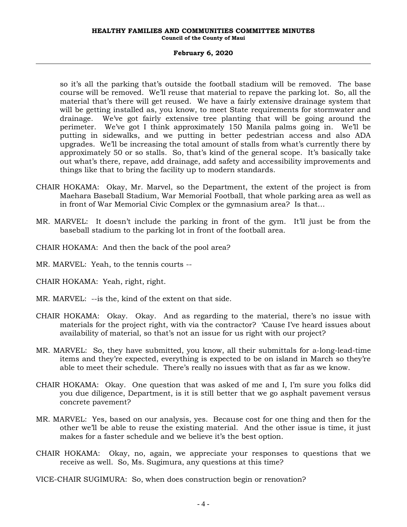#### **HEALTHY FAMILIES AND COMMUNITIES COMMITTEE MINUTES Council of the County of Maui**

#### **February 6, 2020**

so it's all the parking that's outside the football stadium will be removed. The base course will be removed. We'll reuse that material to repave the parking lot. So, all the material that's there will get reused. We have a fairly extensive drainage system that will be getting installed as, you know, to meet State requirements for stormwater and drainage. We've got fairly extensive tree planting that will be going around the perimeter. We've got I think approximately 150 Manila palms going in. We'll be putting in sidewalks, and we putting in better pedestrian access and also ADA upgrades. We'll be increasing the total amount of stalls from what's currently there by approximately 50 or so stalls. So, that's kind of the general scope. It's basically take out what's there, repave, add drainage, add safety and accessibility improvements and things like that to bring the facility up to modern standards.

- CHAIR HOKAMA: Okay, Mr. Marvel, so the Department, the extent of the project is from Maehara Baseball Stadium, War Memorial Football, that whole parking area as well as in front of War Memorial Civic Complex or the gymnasium area? Is that…
- MR. MARVEL: It doesn't include the parking in front of the gym. It'll just be from the baseball stadium to the parking lot in front of the football area.
- CHAIR HOKAMA: And then the back of the pool area?
- MR. MARVEL: Yeah, to the tennis courts --
- CHAIR HOKAMA: Yeah, right, right.
- MR. MARVEL: --is the, kind of the extent on that side.
- CHAIR HOKAMA: Okay. Okay. And as regarding to the material, there's no issue with materials for the project right, with via the contractor? 'Cause I've heard issues about availability of material, so that's not an issue for us right with our project?
- MR. MARVEL: So, they have submitted, you know, all their submittals for a-long-lead-time items and they're expected, everything is expected to be on island in March so they're able to meet their schedule. There's really no issues with that as far as we know.
- CHAIR HOKAMA: Okay. One question that was asked of me and I, I'm sure you folks did you due diligence, Department, is it is still better that we go asphalt pavement versus concrete pavement?
- MR. MARVEL: Yes, based on our analysis, yes. Because cost for one thing and then for the other we'll be able to reuse the existing material. And the other issue is time, it just makes for a faster schedule and we believe it's the best option.
- CHAIR HOKAMA: Okay, no, again, we appreciate your responses to questions that we receive as well. So, Ms. Sugimura, any questions at this time?
- VICE-CHAIR SUGIMURA: So, when does construction begin or renovation?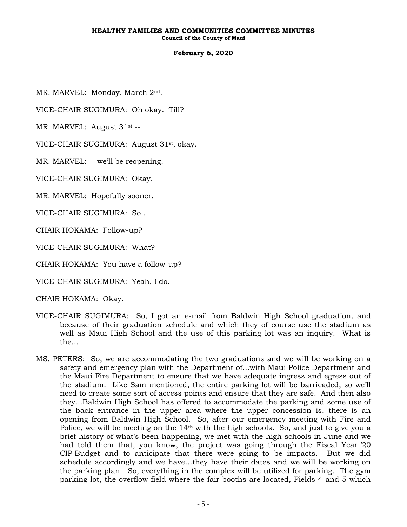#### **HEALTHY FAMILIES AND COMMUNITIES COMMITTEE MINUTES Council of the County of Maui**

### **February 6, 2020**

MR. MARVEL: Monday, March 2nd.

VICE-CHAIR SUGIMURA: Oh okay. Till?

MR. MARVEL: August 31<sup>st</sup> --

VICE-CHAIR SUGIMURA: August 31<sup>st</sup>, okay.

MR. MARVEL: --we'll be reopening.

VICE-CHAIR SUGIMURA: Okay.

MR. MARVEL: Hopefully sooner.

VICE-CHAIR SUGIMURA: So…

CHAIR HOKAMA: Follow-up?

VICE-CHAIR SUGIMURA: What?

CHAIR HOKAMA: You have a follow-up?

VICE-CHAIR SUGIMURA: Yeah, I do.

CHAIR HOKAMA: Okay.

- VICE-CHAIR SUGIMURA: So, I got an e-mail from Baldwin High School graduation, and because of their graduation schedule and which they of course use the stadium as well as Maui High School and the use of this parking lot was an inquiry. What is the…
- MS. PETERS: So, we are accommodating the two graduations and we will be working on a safety and emergency plan with the Department of…with Maui Police Department and the Maui Fire Department to ensure that we have adequate ingress and egress out of the stadium. Like Sam mentioned, the entire parking lot will be barricaded, so we'll need to create some sort of access points and ensure that they are safe. And then also they…Baldwin High School has offered to accommodate the parking and some use of the back entrance in the upper area where the upper concession is, there is an opening from Baldwin High School. So, after our emergency meeting with Fire and Police, we will be meeting on the 14th with the high schools. So, and just to give you a brief history of what's been happening, we met with the high schools in June and we had told them that, you know, the project was going through the Fiscal Year '20 CIP Budget and to anticipate that there were going to be impacts. But we did schedule accordingly and we have…they have their dates and we will be working on the parking plan. So, everything in the complex will be utilized for parking. The gym parking lot, the overflow field where the fair booths are located, Fields 4 and 5 which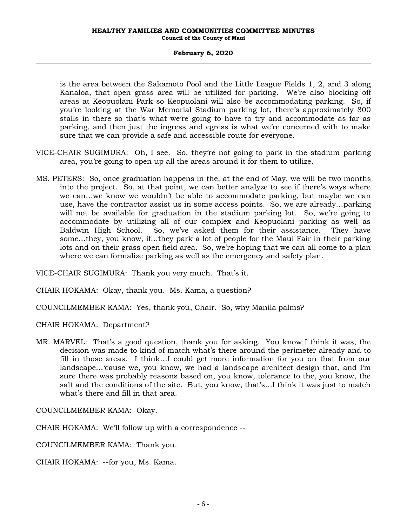is the area between the Sakamoto Pool and the Little League Fields 1, 2, and 3 along Kanaloa, that open grass area will be utilized for parking. We're also blocking off areas at Keopuolani Park so Keopuolani will also be accommodating parking. So, if you're looking at the War Memorial Stadium parking lot, there's approximately 800 stalls in there so that's what we're going to have to try and accommodate as far as parking, and then just the ingress and egress is what we're concerned with to make sure that we can provide a safe and accessible route for everyone.

- VICE-CHAIR SUGIMURA: Oh, I see. So, they're not going to park in the stadium parking area, you're going to open up all the areas around it for them to utilize.
- MS. PETERS: So, once graduation happens in the, at the end of May, we will be two months into the project. So, at that point, we can better analyze to see if there's ways where we can…we know we wouldn't be able to accommodate parking, but maybe we can use, have the contractor assist us in some access points. So, we are already…parking will not be available for graduation in the stadium parking lot. So, we're going to accommodate by utilizing all of our complex and Keopuolani parking as well as Baldwin High School. So, we've asked them for their assistance. They have some…they, you know, if…they park a lot of people for the Maui Fair in their parking lots and on their grass open field area. So, we're hoping that we can all come to a plan where we can formalize parking as well as the emergency and safety plan.

VICE-CHAIR SUGIMURA: Thank you very much. That's it.

CHAIR HOKAMA: Okay, thank you. Ms. Kama, a question?

COUNCILMEMBER KAMA: Yes, thank you, Chair. So, why Manila palms?

CHAIR HOKAMA: Department?

MR. MARVEL: That's a good question, thank you for asking. You know I think it was, the decision was made to kind of match what's there around the perimeter already and to fill in those areas. I think…I could get more information for you on that from our landscape…'cause we, you know, we had a landscape architect design that, and I'm sure there was probably reasons based on, you know, tolerance to the, you know, the salt and the conditions of the site. But, you know, that's…I think it was just to match what's there and fill in that area.

COUNCILMEMBER KAMA: Okay.

CHAIR HOKAMA: We'll follow up with a correspondence --

COUNCILMEMBER KAMA: Thank you.

CHAIR HOKAMA: --for you, Ms. Kama.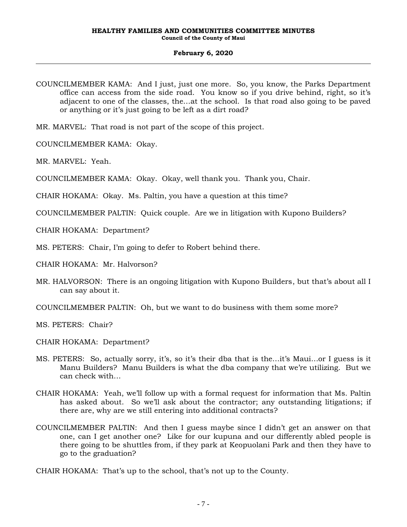- COUNCILMEMBER KAMA: And I just, just one more. So, you know, the Parks Department office can access from the side road. You know so if you drive behind, right, so it's adjacent to one of the classes, the…at the school. Is that road also going to be paved or anything or it's just going to be left as a dirt road?
- MR. MARVEL: That road is not part of the scope of this project.
- COUNCILMEMBER KAMA: Okay.
- MR. MARVEL: Yeah.
- COUNCILMEMBER KAMA: Okay. Okay, well thank you. Thank you, Chair.
- CHAIR HOKAMA: Okay. Ms. Paltin, you have a question at this time?
- COUNCILMEMBER PALTIN: Quick couple. Are we in litigation with Kupono Builders?

CHAIR HOKAMA: Department?

- MS. PETERS: Chair, I'm going to defer to Robert behind there.
- CHAIR HOKAMA: Mr. Halvorson?
- MR. HALVORSON: There is an ongoing litigation with Kupono Builders, but that's about all I can say about it.
- COUNCILMEMBER PALTIN: Oh, but we want to do business with them some more?
- MS. PETERS: Chair?
- CHAIR HOKAMA: Department?
- MS. PETERS: So, actually sorry, it's, so it's their dba that is the…it's Maui…or I guess is it Manu Builders? Manu Builders is what the dba company that we're utilizing. But we can check with…
- CHAIR HOKAMA: Yeah, we'll follow up with a formal request for information that Ms. Paltin has asked about. So we'll ask about the contractor; any outstanding litigations; if there are, why are we still entering into additional contracts?
- COUNCILMEMBER PALTIN: And then I guess maybe since I didn't get an answer on that one, can I get another one? Like for our kupuna and our differently abled people is there going to be shuttles from, if they park at Keopuolani Park and then they have to go to the graduation?
- CHAIR HOKAMA: That's up to the school, that's not up to the County.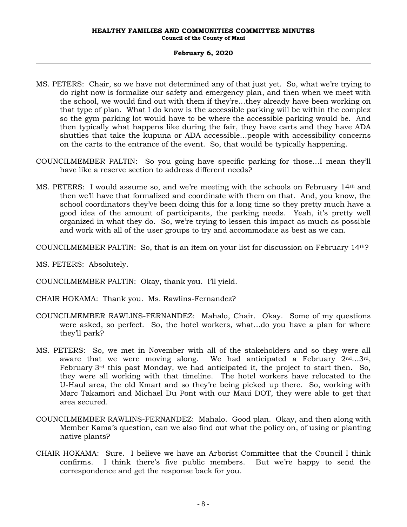- MS. PETERS: Chair, so we have not determined any of that just yet. So, what we're trying to do right now is formalize our safety and emergency plan, and then when we meet with the school, we would find out with them if they're…they already have been working on that type of plan. What I do know is the accessible parking will be within the complex so the gym parking lot would have to be where the accessible parking would be. And then typically what happens like during the fair, they have carts and they have ADA shuttles that take the kupuna or ADA accessible…people with accessibility concerns on the carts to the entrance of the event. So, that would be typically happening.
- COUNCILMEMBER PALTIN: So you going have specific parking for those…I mean they'll have like a reserve section to address different needs?
- MS. PETERS: I would assume so, and we're meeting with the schools on February 14th and then we'll have that formalized and coordinate with them on that. And, you know, the school coordinators they've been doing this for a long time so they pretty much have a good idea of the amount of participants, the parking needs. Yeah, it's pretty well organized in what they do. So, we're trying to lessen this impact as much as possible and work with all of the user groups to try and accommodate as best as we can.
- COUNCILMEMBER PALTIN: So, that is an item on your list for discussion on February  $14<sup>th</sup>$ ?
- MS. PETERS: Absolutely.
- COUNCILMEMBER PALTIN: Okay, thank you. I'll yield.
- CHAIR HOKAMA: Thank you. Ms. Rawlins-Fernandez?
- COUNCILMEMBER RAWLINS-FERNANDEZ: Mahalo, Chair. Okay. Some of my questions were asked, so perfect. So, the hotel workers, what…do you have a plan for where they'll park?
- MS. PETERS: So, we met in November with all of the stakeholders and so they were all aware that we were moving along. We had anticipated a February  $2<sup>nd</sup>...3<sup>rd</sup>$ , February  $3<sup>rd</sup>$  this past Monday, we had anticipated it, the project to start then. So, they were all working with that timeline. The hotel workers have relocated to the U-Haul area, the old Kmart and so they're being picked up there. So, working with Marc Takamori and Michael Du Pont with our Maui DOT, they were able to get that area secured.
- COUNCILMEMBER RAWLINS-FERNANDEZ: Mahalo. Good plan. Okay, and then along with Member Kama's question, can we also find out what the policy on, of using or planting native plants?
- CHAIR HOKAMA: Sure. I believe we have an Arborist Committee that the Council I think confirms. I think there's five public members. But we're happy to send the correspondence and get the response back for you.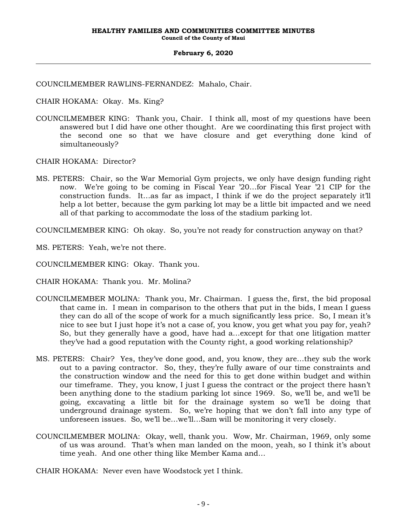COUNCILMEMBER RAWLINS-FERNANDEZ: Mahalo, Chair.

CHAIR HOKAMA: Okay. Ms. King?

COUNCILMEMBER KING: Thank you, Chair. I think all, most of my questions have been answered but I did have one other thought. Are we coordinating this first project with the second one so that we have closure and get everything done kind of simultaneously?

CHAIR HOKAMA: Director?

MS. PETERS: Chair, so the War Memorial Gym projects, we only have design funding right now. We're going to be coming in Fiscal Year '20…for Fiscal Year '21 CIP for the construction funds. It…as far as impact, I think if we do the project separately it'll help a lot better, because the gym parking lot may be a little bit impacted and we need all of that parking to accommodate the loss of the stadium parking lot.

COUNCILMEMBER KING: Oh okay. So, you're not ready for construction anyway on that?

MS. PETERS: Yeah, we're not there.

COUNCILMEMBER KING: Okay. Thank you.

CHAIR HOKAMA: Thank you. Mr. Molina?

- COUNCILMEMBER MOLINA: Thank you, Mr. Chairman. I guess the, first, the bid proposal that came in. I mean in comparison to the others that put in the bids, I mean I guess they can do all of the scope of work for a much significantly less price. So, I mean it's nice to see but I just hope it's not a case of, you know, you get what you pay for, yeah? So, but they generally have a good, have had a…except for that one litigation matter they've had a good reputation with the County right, a good working relationship?
- MS. PETERS: Chair? Yes, they've done good, and, you know, they are…they sub the work out to a paving contractor. So, they, they're fully aware of our time constraints and the construction window and the need for this to get done within budget and within our timeframe. They, you know, I just I guess the contract or the project there hasn't been anything done to the stadium parking lot since 1969. So, we'll be, and we'll be going, excavating a little bit for the drainage system so we'll be doing that underground drainage system. So, we're hoping that we don't fall into any type of unforeseen issues. So, we'll be…we'll…Sam will be monitoring it very closely.
- COUNCILMEMBER MOLINA: Okay, well, thank you. Wow, Mr. Chairman, 1969, only some of us was around. That's when man landed on the moon, yeah, so I think it's about time yeah. And one other thing like Member Kama and…

CHAIR HOKAMA: Never even have Woodstock yet I think.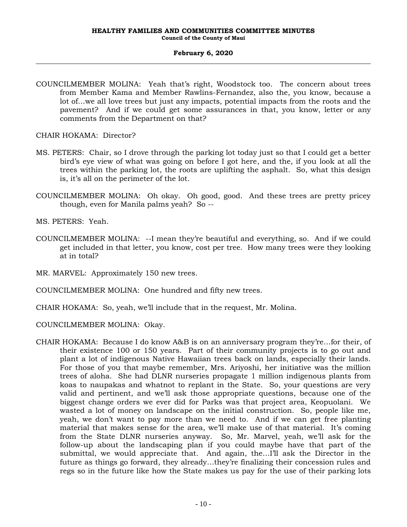COUNCILMEMBER MOLINA: Yeah that's right, Woodstock too. The concern about trees from Member Kama and Member Rawlins-Fernandez, also the, you know, because a lot of…we all love trees but just any impacts, potential impacts from the roots and the pavement? And if we could get some assurances in that, you know, letter or any comments from the Department on that?

CHAIR HOKAMA: Director?

- MS. PETERS: Chair, so I drove through the parking lot today just so that I could get a better bird's eye view of what was going on before I got here, and the, if you look at all the trees within the parking lot, the roots are uplifting the asphalt. So, what this design is, it's all on the perimeter of the lot.
- COUNCILMEMBER MOLINA: Oh okay. Oh good, good. And these trees are pretty pricey though, even for Manila palms yeah? So --
- MS. PETERS: Yeah.
- COUNCILMEMBER MOLINA: --I mean they're beautiful and everything, so. And if we could get included in that letter, you know, cost per tree. How many trees were they looking at in total?
- MR. MARVEL: Approximately 150 new trees.
- COUNCILMEMBER MOLINA: One hundred and fifty new trees.
- CHAIR HOKAMA: So, yeah, we'll include that in the request, Mr. Molina.

COUNCILMEMBER MOLINA: Okay.

CHAIR HOKAMA: Because I do know A&B is on an anniversary program they're…for their, of their existence 100 or 150 years. Part of their community projects is to go out and plant a lot of indigenous Native Hawaiian trees back on lands, especially their lands. For those of you that maybe remember, Mrs. Ariyoshi, her initiative was the million trees of aloha. She had DLNR nurseries propagate 1 million indigenous plants from koas to naupakas and whatnot to replant in the State. So, your questions are very valid and pertinent, and we'll ask those appropriate questions, because one of the biggest change orders we ever did for Parks was that project area, Keopuolani. We wasted a lot of money on landscape on the initial construction. So, people like me, yeah, we don't want to pay more than we need to. And if we can get free planting material that makes sense for the area, we'll make use of that material. It's coming from the State DLNR nurseries anyway. So, Mr. Marvel, yeah, we'll ask for the follow-up about the landscaping plan if you could maybe have that part of the submittal, we would appreciate that. And again, the…I'll ask the Director in the future as things go forward, they already…they're finalizing their concession rules and regs so in the future like how the State makes us pay for the use of their parking lots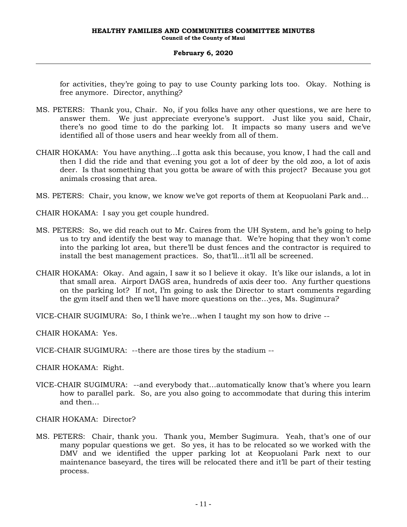for activities, they're going to pay to use County parking lots too. Okay. Nothing is free anymore. Director, anything?

- MS. PETERS: Thank you, Chair. No, if you folks have any other questions, we are here to answer them. We just appreciate everyone's support. Just like you said, Chair, there's no good time to do the parking lot. It impacts so many users and we've identified all of those users and hear weekly from all of them.
- CHAIR HOKAMA: You have anything…I gotta ask this because, you know, I had the call and then I did the ride and that evening you got a lot of deer by the old zoo, a lot of axis deer. Is that something that you gotta be aware of with this project? Because you got animals crossing that area.
- MS. PETERS: Chair, you know, we know we've got reports of them at Keopuolani Park and…
- CHAIR HOKAMA: I say you get couple hundred.
- MS. PETERS: So, we did reach out to Mr. Caires from the UH System, and he's going to help us to try and identify the best way to manage that. We're hoping that they won't come into the parking lot area, but there'll be dust fences and the contractor is required to install the best management practices. So, that'll…it'll all be screened.
- CHAIR HOKAMA: Okay. And again, I saw it so I believe it okay. It's like our islands, a lot in that small area. Airport DAGS area, hundreds of axis deer too. Any further questions on the parking lot? If not, I'm going to ask the Director to start comments regarding the gym itself and then we'll have more questions on the…yes, Ms. Sugimura?

VICE-CHAIR SUGIMURA: So, I think we're…when I taught my son how to drive --

CHAIR HOKAMA: Yes.

VICE-CHAIR SUGIMURA: --there are those tires by the stadium --

CHAIR HOKAMA: Right.

VICE-CHAIR SUGIMURA: --and everybody that…automatically know that's where you learn how to parallel park. So, are you also going to accommodate that during this interim and then…

CHAIR HOKAMA: Director?

MS. PETERS: Chair, thank you. Thank you, Member Sugimura. Yeah, that's one of our many popular questions we get. So yes, it has to be relocated so we worked with the DMV and we identified the upper parking lot at Keopuolani Park next to our maintenance baseyard, the tires will be relocated there and it'll be part of their testing process.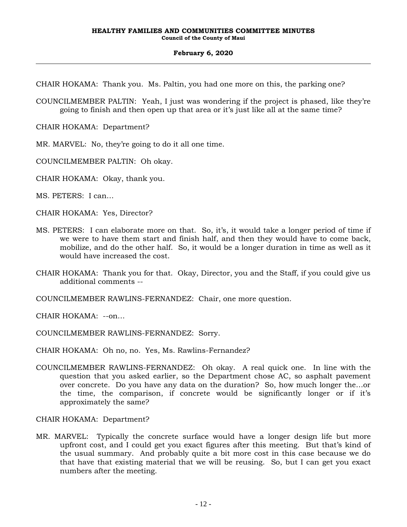CHAIR HOKAMA: Thank you. Ms. Paltin, you had one more on this, the parking one?

COUNCILMEMBER PALTIN: Yeah, I just was wondering if the project is phased, like they're going to finish and then open up that area or it's just like all at the same time?

CHAIR HOKAMA: Department?

MR. MARVEL: No, they're going to do it all one time.

COUNCILMEMBER PALTIN: Oh okay.

CHAIR HOKAMA: Okay, thank you.

MS. PETERS: I can…

CHAIR HOKAMA: Yes, Director?

- MS. PETERS: I can elaborate more on that. So, it's, it would take a longer period of time if we were to have them start and finish half, and then they would have to come back, mobilize, and do the other half. So, it would be a longer duration in time as well as it would have increased the cost.
- CHAIR HOKAMA: Thank you for that. Okay, Director, you and the Staff, if you could give us additional comments --

COUNCILMEMBER RAWLINS-FERNANDEZ: Chair, one more question.

CHAIR HOKAMA: --on…

COUNCILMEMBER RAWLINS-FERNANDEZ: Sorry.

CHAIR HOKAMA: Oh no, no. Yes, Ms. Rawlins-Fernandez?

COUNCILMEMBER RAWLINS-FERNANDEZ: Oh okay. A real quick one. In line with the question that you asked earlier, so the Department chose AC, so asphalt pavement over concrete. Do you have any data on the duration? So, how much longer the…or the time, the comparison, if concrete would be significantly longer or if it's approximately the same?

CHAIR HOKAMA: Department?

MR. MARVEL: Typically the concrete surface would have a longer design life but more upfront cost, and I could get you exact figures after this meeting. But that's kind of the usual summary. And probably quite a bit more cost in this case because we do that have that existing material that we will be reusing. So, but I can get you exact numbers after the meeting.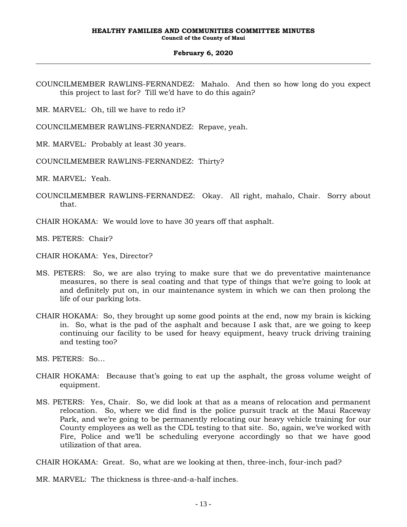COUNCILMEMBER RAWLINS-FERNANDEZ: Mahalo. And then so how long do you expect this project to last for? Till we'd have to do this again?

MR. MARVEL: Oh, till we have to redo it?

COUNCILMEMBER RAWLINS-FERNANDEZ: Repave, yeah.

MR. MARVEL: Probably at least 30 years.

COUNCILMEMBER RAWLINS-FERNANDEZ: Thirty?

MR. MARVEL: Yeah.

COUNCILMEMBER RAWLINS-FERNANDEZ: Okay. All right, mahalo, Chair. Sorry about that.

CHAIR HOKAMA: We would love to have 30 years off that asphalt.

MS. PETERS: Chair?

CHAIR HOKAMA: Yes, Director?

- MS. PETERS: So, we are also trying to make sure that we do preventative maintenance measures, so there is seal coating and that type of things that we're going to look at and definitely put on, in our maintenance system in which we can then prolong the life of our parking lots.
- CHAIR HOKAMA: So, they brought up some good points at the end, now my brain is kicking in. So, what is the pad of the asphalt and because I ask that, are we going to keep continuing our facility to be used for heavy equipment, heavy truck driving training and testing too?

MS. PETERS: So…

- CHAIR HOKAMA: Because that's going to eat up the asphalt, the gross volume weight of equipment.
- MS. PETERS: Yes, Chair. So, we did look at that as a means of relocation and permanent relocation. So, where we did find is the police pursuit track at the Maui Raceway Park, and we're going to be permanently relocating our heavy vehicle training for our County employees as well as the CDL testing to that site. So, again, we've worked with Fire, Police and we'll be scheduling everyone accordingly so that we have good utilization of that area.

CHAIR HOKAMA: Great. So, what are we looking at then, three-inch, four-inch pad?

MR. MARVEL: The thickness is three-and-a-half inches.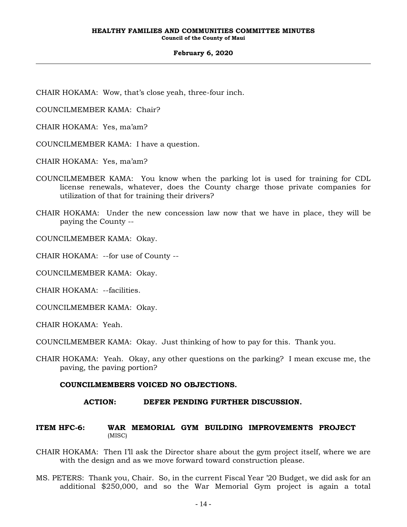CHAIR HOKAMA: Wow, that's close yeah, three-four inch.

COUNCILMEMBER KAMA: Chair?

CHAIR HOKAMA: Yes, ma'am?

COUNCILMEMBER KAMA: I have a question.

CHAIR HOKAMA: Yes, ma'am?

- COUNCILMEMBER KAMA: You know when the parking lot is used for training for CDL license renewals, whatever, does the County charge those private companies for utilization of that for training their drivers?
- CHAIR HOKAMA: Under the new concession law now that we have in place, they will be paying the County --

COUNCILMEMBER KAMA: Okay.

CHAIR HOKAMA: --for use of County --

COUNCILMEMBER KAMA: Okay.

CHAIR HOKAMA: --facilities.

COUNCILMEMBER KAMA: Okay.

CHAIR HOKAMA: Yeah.

COUNCILMEMBER KAMA: Okay. Just thinking of how to pay for this. Thank you.

CHAIR HOKAMA: Yeah. Okay, any other questions on the parking? I mean excuse me, the paving, the paving portion?

#### **COUNCILMEMBERS VOICED NO OBJECTIONS.**

#### **ACTION: DEFER PENDING FURTHER DISCUSSION.**

### **ITEM HFC-6: WAR MEMORIAL GYM BUILDING IMPROVEMENTS PROJECT**  (MISC)

- CHAIR HOKAMA: Then I'll ask the Director share about the gym project itself, where we are with the design and as we move forward toward construction please.
- MS. PETERS: Thank you, Chair. So, in the current Fiscal Year '20 Budget, we did ask for an additional \$250,000, and so the War Memorial Gym project is again a total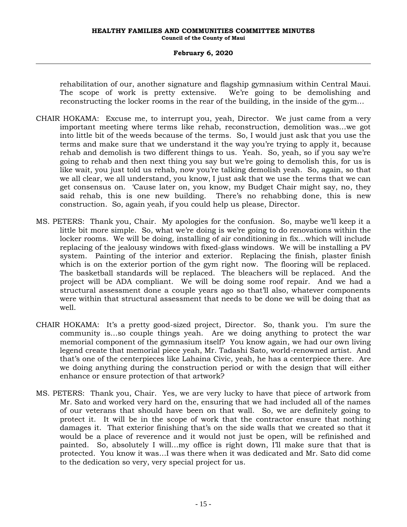rehabilitation of our, another signature and flagship gymnasium within Central Maui. The scope of work is pretty extensive. We're going to be demolishing and reconstructing the locker rooms in the rear of the building, in the inside of the gym…

- CHAIR HOKAMA: Excuse me, to interrupt you, yeah, Director. We just came from a very important meeting where terms like rehab, reconstruction, demolition was…we got into little bit of the weeds because of the terms. So, I would just ask that you use the terms and make sure that we understand it the way you're trying to apply it, because rehab and demolish is two different things to us. Yeah. So, yeah, so if you say we're going to rehab and then next thing you say but we're going to demolish this, for us is like wait, you just told us rehab, now you're talking demolish yeah. So, again, so that we all clear, we all understand, you know, I just ask that we use the terms that we can get consensus on. 'Cause later on, you know, my Budget Chair might say, no, they said rehab, this is one new building. There's no rehabbing done, this is new construction. So, again yeah, if you could help us please, Director.
- MS. PETERS: Thank you, Chair. My apologies for the confusion. So, maybe we'll keep it a little bit more simple. So, what we're doing is we're going to do renovations within the locker rooms. We will be doing, installing of air conditioning in fix…which will include replacing of the jealousy windows with fixed-glass windows. We will be installing a PV system. Painting of the interior and exterior. Replacing the finish, plaster finish which is on the exterior portion of the gym right now. The flooring will be replaced. The basketball standards will be replaced. The bleachers will be replaced. And the project will be ADA compliant. We will be doing some roof repair. And we had a structural assessment done a couple years ago so that'll also, whatever components were within that structural assessment that needs to be done we will be doing that as well.
- CHAIR HOKAMA: It's a pretty good-sized project, Director. So, thank you. I'm sure the community is…so couple things yeah. Are we doing anything to protect the war memorial component of the gymnasium itself? You know again, we had our own living legend create that memorial piece yeah, Mr. Tadashi Sato, world-renowned artist. And that's one of the centerpieces like Lahaina Civic, yeah, he has a centerpiece there. Are we doing anything during the construction period or with the design that will either enhance or ensure protection of that artwork?
- MS. PETERS: Thank you, Chair. Yes, we are very lucky to have that piece of artwork from Mr. Sato and worked very hard on the, ensuring that we had included all of the names of our veterans that should have been on that wall. So, we are definitely going to protect it. It will be in the scope of work that the contractor ensure that nothing damages it. That exterior finishing that's on the side walls that we created so that it would be a place of reverence and it would not just be open, will be refinished and painted. So, absolutely I will…my office is right down, I'll make sure that that is protected. You know it was…I was there when it was dedicated and Mr. Sato did come to the dedication so very, very special project for us.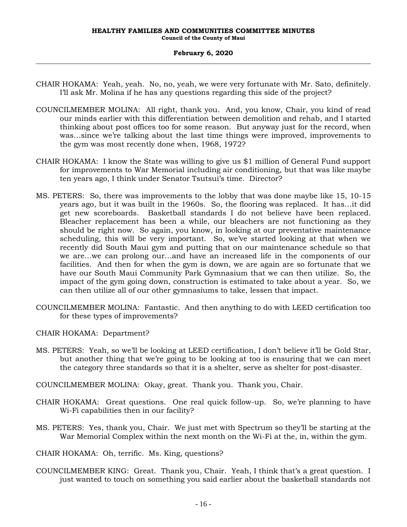- CHAIR HOKAMA: Yeah, yeah. No, no, yeah, we were very fortunate with Mr. Sato, definitely. I'll ask Mr. Molina if he has any questions regarding this side of the project?
- COUNCILMEMBER MOLINA: All right, thank you. And, you know, Chair, you kind of read our minds earlier with this differentiation between demolition and rehab, and I started thinking about post offices too for some reason. But anyway just for the record, when was…since we're talking about the last time things were improved, improvements to the gym was most recently done when, 1968, 1972?
- CHAIR HOKAMA: I know the State was willing to give us \$1 million of General Fund support for improvements to War Memorial including air conditioning, but that was like maybe ten years ago, I think under Senator Tsutsui's time. Director?
- MS. PETERS: So, there was improvements to the lobby that was done maybe like 15, 10-15 years ago, but it was built in the 1960s. So, the flooring was replaced. It has…it did get new scoreboards. Basketball standards I do not believe have been replaced. Bleacher replacement has been a while, our bleachers are not functioning as they should be right now. So again, you know, in looking at our preventative maintenance scheduling, this will be very important. So, we've started looking at that when we recently did South Maui gym and putting that on our maintenance schedule so that we are…we can prolong our…and have an increased life in the components of our facilities. And then for when the gym is down, we are again are so fortunate that we have our South Maui Community Park Gymnasium that we can then utilize. So, the impact of the gym going down, construction is estimated to take about a year. So, we can then utilize all of our other gymnasiums to take, lessen that impact.
- COUNCILMEMBER MOLINA: Fantastic. And then anything to do with LEED certification too for these types of improvements?

CHAIR HOKAMA: Department?

- MS. PETERS: Yeah, so we'll be looking at LEED certification, I don't believe it'll be Gold Star, but another thing that we're going to be looking at too is ensuring that we can meet the category three standards so that it is a shelter, serve as shelter for post-disaster.
- COUNCILMEMBER MOLINA: Okay, great. Thank you. Thank you, Chair.
- CHAIR HOKAMA: Great questions. One real quick follow-up. So, we're planning to have Wi-Fi capabilities then in our facility?
- MS. PETERS: Yes, thank you, Chair. We just met with Spectrum so they'll be starting at the War Memorial Complex within the next month on the Wi-Fi at the, in, within the gym.

CHAIR HOKAMA: Oh, terrific. Ms. King, questions?

COUNCILMEMBER KING: Great. Thank you, Chair. Yeah, I think that's a great question. I just wanted to touch on something you said earlier about the basketball standards not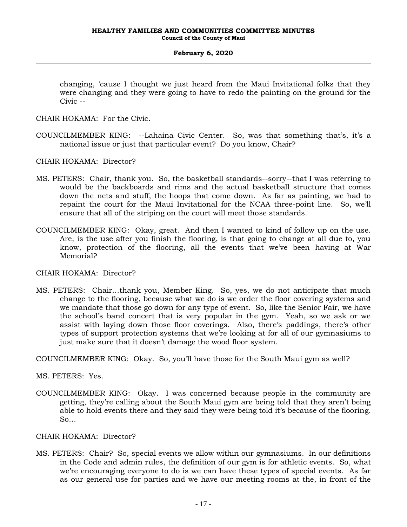changing, 'cause I thought we just heard from the Maui Invitational folks that they were changing and they were going to have to redo the painting on the ground for the Civic --

CHAIR HOKAMA: For the Civic.

COUNCILMEMBER KING: --Lahaina Civic Center. So, was that something that's, it's a national issue or just that particular event? Do you know, Chair?

CHAIR HOKAMA: Director?

- MS. PETERS: Chair, thank you. So, the basketball standards--sorry--that I was referring to would be the backboards and rims and the actual basketball structure that comes down the nets and stuff, the hoops that come down. As far as painting, we had to repaint the court for the Maui Invitational for the NCAA three-point line. So, we'll ensure that all of the striping on the court will meet those standards.
- COUNCILMEMBER KING: Okay, great. And then I wanted to kind of follow up on the use. Are, is the use after you finish the flooring, is that going to change at all due to, you know, protection of the flooring, all the events that we've been having at War Memorial?

CHAIR HOKAMA: Director?

MS. PETERS: Chair…thank you, Member King. So, yes, we do not anticipate that much change to the flooring, because what we do is we order the floor covering systems and we mandate that those go down for any type of event. So, like the Senior Fair, we have the school's band concert that is very popular in the gym. Yeah, so we ask or we assist with laying down those floor coverings. Also, there's paddings, there's other types of support protection systems that we're looking at for all of our gymnasiums to just make sure that it doesn't damage the wood floor system.

COUNCILMEMBER KING: Okay. So, you'll have those for the South Maui gym as well?

MS. PETERS: Yes.

COUNCILMEMBER KING: Okay. I was concerned because people in the community are getting, they're calling about the South Maui gym are being told that they aren't being able to hold events there and they said they were being told it's because of the flooring. So…

CHAIR HOKAMA: Director?

MS. PETERS: Chair? So, special events we allow within our gymnasiums. In our definitions in the Code and admin rules, the definition of our gym is for athletic events. So, what we're encouraging everyone to do is we can have these types of special events. As far as our general use for parties and we have our meeting rooms at the, in front of the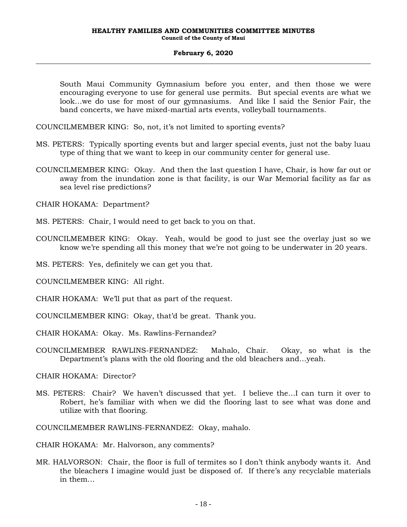South Maui Community Gymnasium before you enter, and then those we were encouraging everyone to use for general use permits. But special events are what we look…we do use for most of our gymnasiums. And like I said the Senior Fair, the band concerts, we have mixed-martial arts events, volleyball tournaments.

COUNCILMEMBER KING: So, not, it's not limited to sporting events?

- MS. PETERS: Typically sporting events but and larger special events, just not the baby luau type of thing that we want to keep in our community center for general use.
- COUNCILMEMBER KING: Okay. And then the last question I have, Chair, is how far out or away from the inundation zone is that facility, is our War Memorial facility as far as sea level rise predictions?

CHAIR HOKAMA: Department?

- MS. PETERS: Chair, I would need to get back to you on that.
- COUNCILMEMBER KING: Okay. Yeah, would be good to just see the overlay just so we know we're spending all this money that we're not going to be underwater in 20 years.
- MS. PETERS: Yes, definitely we can get you that.
- COUNCILMEMBER KING: All right.
- CHAIR HOKAMA: We'll put that as part of the request.
- COUNCILMEMBER KING: Okay, that'd be great. Thank you.
- CHAIR HOKAMA: Okay. Ms. Rawlins-Fernandez?
- COUNCILMEMBER RAWLINS-FERNANDEZ: Mahalo, Chair. Okay, so what is the Department's plans with the old flooring and the old bleachers and…yeah.

CHAIR HOKAMA: Director?

MS. PETERS: Chair? We haven't discussed that yet. I believe the…I can turn it over to Robert, he's familiar with when we did the flooring last to see what was done and utilize with that flooring.

COUNCILMEMBER RAWLINS-FERNANDEZ: Okay, mahalo.

CHAIR HOKAMA: Mr. Halvorson, any comments?

MR. HALVORSON: Chair, the floor is full of termites so I don't think anybody wants it. And the bleachers I imagine would just be disposed of. If there's any recyclable materials in them…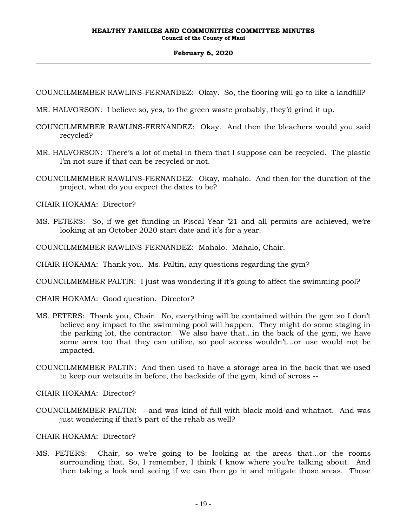COUNCILMEMBER RAWLINS-FERNANDEZ: Okay. So, the flooring will go to like a landfill?

- MR. HALVORSON: I believe so, yes, to the green waste probably, they'd grind it up.
- COUNCILMEMBER RAWLINS-FERNANDEZ: Okay. And then the bleachers would you said recycled?
- MR. HALVORSON: There's a lot of metal in them that I suppose can be recycled. The plastic I'm not sure if that can be recycled or not.
- COUNCILMEMBER RAWLINS-FERNANDEZ: Okay, mahalo. And then for the duration of the project, what do you expect the dates to be?

CHAIR HOKAMA: Director?

MS. PETERS: So, if we get funding in Fiscal Year '21 and all permits are achieved, we're looking at an October 2020 start date and it's for a year.

COUNCILMEMBER RAWLINS-FERNANDEZ: Mahalo. Mahalo, Chair.

CHAIR HOKAMA: Thank you. Ms. Paltin, any questions regarding the gym?

COUNCILMEMBER PALTIN: I just was wondering if it's going to affect the swimming pool?

CHAIR HOKAMA: Good question. Director?

- MS. PETERS: Thank you, Chair. No, everything will be contained within the gym so I don't believe any impact to the swimming pool will happen. They might do some staging in the parking lot, the contractor. We also have that…in the back of the gym, we have some area too that they can utilize, so pool access wouldn't…or use would not be impacted.
- COUNCILMEMBER PALTIN: And then used to have a storage area in the back that we used to keep our wetsuits in before, the backside of the gym, kind of across --
- CHAIR HOKAMA: Director?
- COUNCILMEMBER PALTIN: --and was kind of full with black mold and whatnot. And was just wondering if that's part of the rehab as well?

#### CHAIR HOKAMA: Director?

MS. PETERS: Chair, so we're going to be looking at the areas that…or the rooms surrounding that. So, I remember, I think I know where you're talking about. And then taking a look and seeing if we can then go in and mitigate those areas. Those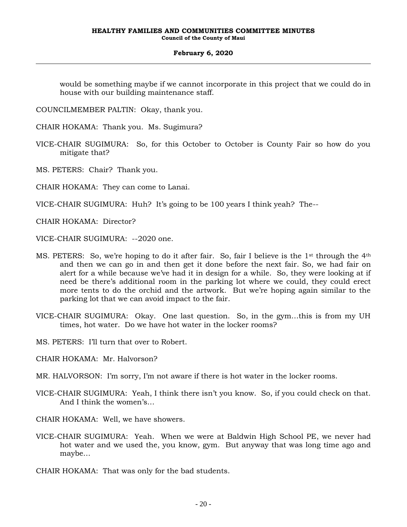would be something maybe if we cannot incorporate in this project that we could do in house with our building maintenance staff.

COUNCILMEMBER PALTIN: Okay, thank you.

CHAIR HOKAMA: Thank you. Ms. Sugimura?

VICE-CHAIR SUGIMURA: So, for this October to October is County Fair so how do you mitigate that?

MS. PETERS: Chair? Thank you.

CHAIR HOKAMA: They can come to Lanai.

VICE-CHAIR SUGIMURA: Huh? It's going to be 100 years I think yeah? The--

CHAIR HOKAMA: Director?

VICE-CHAIR SUGIMURA: --2020 one.

- MS. PETERS: So, we're hoping to do it after fair. So, fair I believe is the 1<sup>st</sup> through the 4<sup>th</sup> and then we can go in and then get it done before the next fair. So, we had fair on alert for a while because we've had it in design for a while. So, they were looking at if need be there's additional room in the parking lot where we could, they could erect more tents to do the orchid and the artwork. But we're hoping again similar to the parking lot that we can avoid impact to the fair.
- VICE-CHAIR SUGIMURA: Okay. One last question. So, in the gym…this is from my UH times, hot water. Do we have hot water in the locker rooms?

MS. PETERS: I'll turn that over to Robert.

CHAIR HOKAMA: Mr. Halvorson?

MR. HALVORSON: I'm sorry, I'm not aware if there is hot water in the locker rooms.

- VICE-CHAIR SUGIMURA: Yeah, I think there isn't you know. So, if you could check on that. And I think the women's…
- CHAIR HOKAMA: Well, we have showers.
- VICE-CHAIR SUGIMURA: Yeah. When we were at Baldwin High School PE, we never had hot water and we used the, you know, gym. But anyway that was long time ago and maybe…
- CHAIR HOKAMA: That was only for the bad students.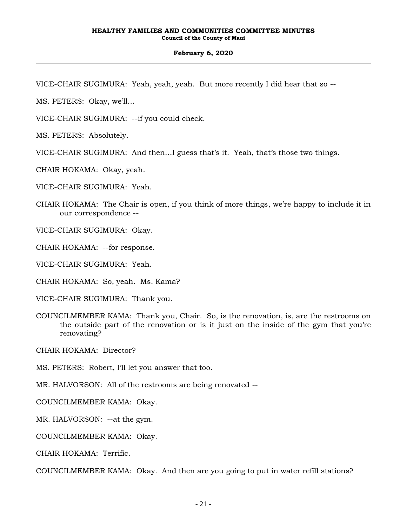- VICE-CHAIR SUGIMURA: Yeah, yeah, yeah. But more recently I did hear that so --
- MS. PETERS: Okay, we'll…
- VICE-CHAIR SUGIMURA: --if you could check.
- MS. PETERS: Absolutely.
- VICE-CHAIR SUGIMURA: And then…I guess that's it. Yeah, that's those two things.
- CHAIR HOKAMA: Okay, yeah.
- VICE-CHAIR SUGIMURA: Yeah.
- CHAIR HOKAMA: The Chair is open, if you think of more things, we're happy to include it in our correspondence --
- VICE-CHAIR SUGIMURA: Okay.
- CHAIR HOKAMA: --for response.
- VICE-CHAIR SUGIMURA: Yeah.
- CHAIR HOKAMA: So, yeah. Ms. Kama?
- VICE-CHAIR SUGIMURA: Thank you.
- COUNCILMEMBER KAMA: Thank you, Chair. So, is the renovation, is, are the restrooms on the outside part of the renovation or is it just on the inside of the gym that you're renovating?
- CHAIR HOKAMA: Director?
- MS. PETERS: Robert, I'll let you answer that too.
- MR. HALVORSON: All of the restrooms are being renovated --
- COUNCILMEMBER KAMA: Okay.
- MR. HALVORSON: --at the gym.
- COUNCILMEMBER KAMA: Okay.
- CHAIR HOKAMA: Terrific.
- COUNCILMEMBER KAMA: Okay. And then are you going to put in water refill stations?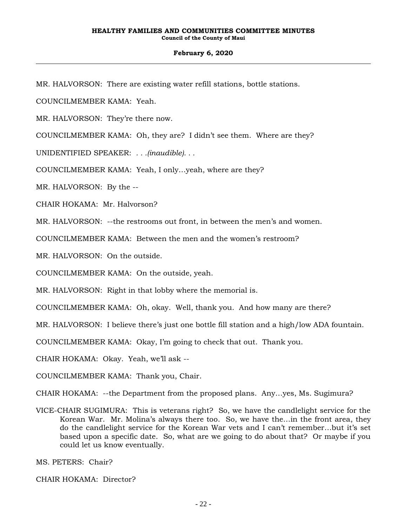MR. HALVORSON: There are existing water refill stations, bottle stations.

COUNCILMEMBER KAMA: Yeah.

MR. HALVORSON: They're there now.

COUNCILMEMBER KAMA: Oh, they are? I didn't see them. Where are they?

UNIDENTIFIED SPEAKER: *. . .(inaudible). . .*

COUNCILMEMBER KAMA: Yeah, I only…yeah, where are they?

MR. HALVORSON: By the --

CHAIR HOKAMA: Mr. Halvorson?

MR. HALVORSON: --the restrooms out front, in between the men's and women.

COUNCILMEMBER KAMA: Between the men and the women's restroom?

MR. HALVORSON: On the outside.

COUNCILMEMBER KAMA: On the outside, yeah.

MR. HALVORSON: Right in that lobby where the memorial is.

COUNCILMEMBER KAMA: Oh, okay. Well, thank you. And how many are there?

MR. HALVORSON: I believe there's just one bottle fill station and a high/low ADA fountain.

COUNCILMEMBER KAMA: Okay, I'm going to check that out. Thank you.

CHAIR HOKAMA: Okay. Yeah, we'll ask --

COUNCILMEMBER KAMA: Thank you, Chair.

CHAIR HOKAMA: --the Department from the proposed plans. Any…yes, Ms. Sugimura?

VICE-CHAIR SUGIMURA: This is veterans right? So, we have the candlelight service for the Korean War. Mr. Molina's always there too. So, we have the…in the front area, they do the candlelight service for the Korean War vets and I can't remember…but it's set based upon a specific date. So, what are we going to do about that? Or maybe if you could let us know eventually.

MS. PETERS: Chair?

CHAIR HOKAMA: Director?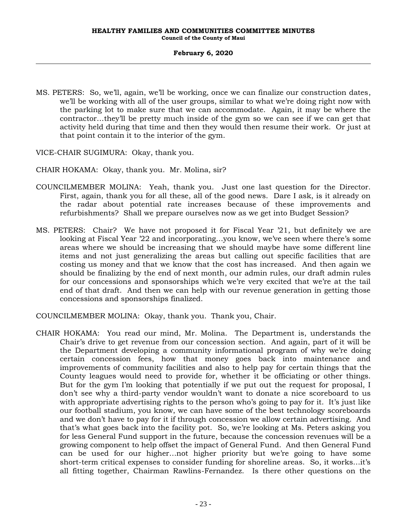MS. PETERS: So, we'll, again, we'll be working, once we can finalize our construction dates, we'll be working with all of the user groups, similar to what we're doing right now with the parking lot to make sure that we can accommodate. Again, it may be where the contractor…they'll be pretty much inside of the gym so we can see if we can get that activity held during that time and then they would then resume their work. Or just at that point contain it to the interior of the gym.

VICE-CHAIR SUGIMURA: Okay, thank you.

- CHAIR HOKAMA: Okay, thank you. Mr. Molina, sir?
- COUNCILMEMBER MOLINA: Yeah, thank you. Just one last question for the Director. First, again, thank you for all these, all of the good news. Dare I ask, is it already on the radar about potential rate increases because of these improvements and refurbishments? Shall we prepare ourselves now as we get into Budget Session?
- MS. PETERS: Chair? We have not proposed it for Fiscal Year '21, but definitely we are looking at Fiscal Year '22 and incorporating…you know, we've seen where there's some areas where we should be increasing that we should maybe have some different line items and not just generalizing the areas but calling out specific facilities that are costing us money and that we know that the cost has increased. And then again we should be finalizing by the end of next month, our admin rules, our draft admin rules for our concessions and sponsorships which we're very excited that we're at the tail end of that draft. And then we can help with our revenue generation in getting those concessions and sponsorships finalized.

COUNCILMEMBER MOLINA: Okay, thank you. Thank you, Chair.

CHAIR HOKAMA: You read our mind, Mr. Molina. The Department is, understands the Chair's drive to get revenue from our concession section. And again, part of it will be the Department developing a community informational program of why we're doing certain concession fees, how that money goes back into maintenance and improvements of community facilities and also to help pay for certain things that the County leagues would need to provide for, whether it be officiating or other things. But for the gym I'm looking that potentially if we put out the request for proposal, I don't see why a third-party vendor wouldn't want to donate a nice scoreboard to us with appropriate advertising rights to the person who's going to pay for it. It's just like our football stadium, you know, we can have some of the best technology scoreboards and we don't have to pay for it if through concession we allow certain advertising. And that's what goes back into the facility pot. So, we're looking at Ms. Peters asking you for less General Fund support in the future, because the concession revenues will be a growing component to help offset the impact of General Fund. And then General Fund can be used for our higher…not higher priority but we're going to have some short-term critical expenses to consider funding for shoreline areas. So, it works…it's all fitting together, Chairman Rawlins-Fernandez. Is there other questions on the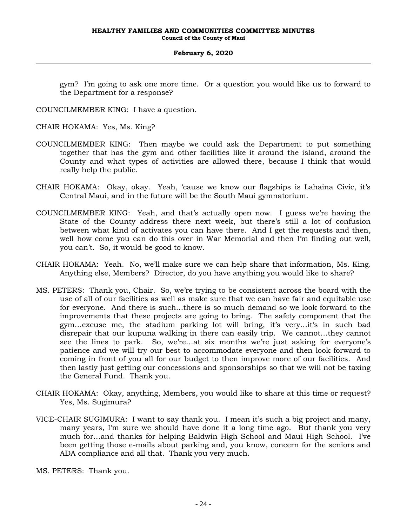gym? I'm going to ask one more time. Or a question you would like us to forward to the Department for a response?

COUNCILMEMBER KING: I have a question.

CHAIR HOKAMA: Yes, Ms. King?

- COUNCILMEMBER KING: Then maybe we could ask the Department to put something together that has the gym and other facilities like it around the island, around the County and what types of activities are allowed there, because I think that would really help the public.
- CHAIR HOKAMA: Okay, okay. Yeah, 'cause we know our flagships is Lahaina Civic, it's Central Maui, and in the future will be the South Maui gymnatorium.
- COUNCILMEMBER KING: Yeah, and that's actually open now. I guess we're having the State of the County address there next week, but there's still a lot of confusion between what kind of activates you can have there. And I get the requests and then, well how come you can do this over in War Memorial and then I'm finding out well, you can't. So, it would be good to know.
- CHAIR HOKAMA: Yeah. No, we'll make sure we can help share that information, Ms. King. Anything else, Members? Director, do you have anything you would like to share?
- MS. PETERS: Thank you, Chair. So, we're trying to be consistent across the board with the use of all of our facilities as well as make sure that we can have fair and equitable use for everyone. And there is such…there is so much demand so we look forward to the improvements that these projects are going to bring. The safety component that the gym…excuse me, the stadium parking lot will bring, it's very…it's in such bad disrepair that our kupuna walking in there can easily trip. We cannot…they cannot see the lines to park. So, we're…at six months we're just asking for everyone's patience and we will try our best to accommodate everyone and then look forward to coming in front of you all for our budget to then improve more of our facilities. And then lastly just getting our concessions and sponsorships so that we will not be taxing the General Fund. Thank you.
- CHAIR HOKAMA: Okay, anything, Members, you would like to share at this time or request? Yes, Ms. Sugimura?
- VICE-CHAIR SUGIMURA: I want to say thank you. I mean it's such a big project and many, many years, I'm sure we should have done it a long time ago. But thank you very much for…and thanks for helping Baldwin High School and Maui High School. I've been getting those e-mails about parking and, you know, concern for the seniors and ADA compliance and all that. Thank you very much.

MS. PETERS: Thank you.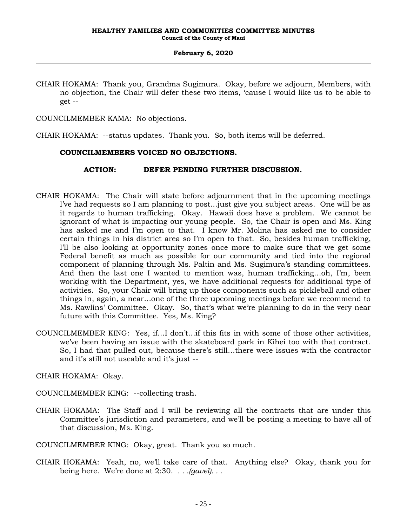CHAIR HOKAMA: Thank you, Grandma Sugimura. Okay, before we adjourn, Members, with no objection, the Chair will defer these two items, 'cause I would like us to be able to get --

COUNCILMEMBER KAMA: No objections.

CHAIR HOKAMA: --status updates. Thank you. So, both items will be deferred.

### **COUNCILMEMBERS VOICED NO OBJECTIONS.**

### **ACTION: DEFER PENDING FURTHER DISCUSSION.**

- CHAIR HOKAMA: The Chair will state before adjournment that in the upcoming meetings I've had requests so I am planning to post…just give you subject areas. One will be as it regards to human trafficking. Okay. Hawaii does have a problem. We cannot be ignorant of what is impacting our young people. So, the Chair is open and Ms. King has asked me and I'm open to that. I know Mr. Molina has asked me to consider certain things in his district area so I'm open to that. So, besides human trafficking, I'll be also looking at opportunity zones once more to make sure that we get some Federal benefit as much as possible for our community and tied into the regional component of planning through Ms. Paltin and Ms. Sugimura's standing committees. And then the last one I wanted to mention was, human trafficking…oh, I'm, been working with the Department, yes, we have additional requests for additional type of activities. So, your Chair will bring up those components such as pickleball and other things in, again, a near…one of the three upcoming meetings before we recommend to Ms. Rawlins' Committee. Okay. So, that's what we're planning to do in the very near future with this Committee. Yes, Ms. King?
- COUNCILMEMBER KING: Yes, if…I don't…if this fits in with some of those other activities, we've been having an issue with the skateboard park in Kihei too with that contract. So, I had that pulled out, because there's still…there were issues with the contractor and it's still not useable and it's just --

CHAIR HOKAMA: Okay.

COUNCILMEMBER KING: --collecting trash.

CHAIR HOKAMA: The Staff and I will be reviewing all the contracts that are under this Committee's jurisdiction and parameters, and we'll be posting a meeting to have all of that discussion, Ms. King.

COUNCILMEMBER KING: Okay, great. Thank you so much.

CHAIR HOKAMA: Yeah, no, we'll take care of that. Anything else? Okay, thank you for being here. We're done at 2:30. *. . .(gavel). . .*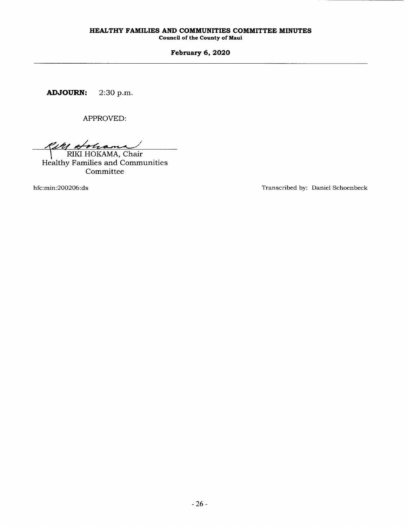## HEALTHY FAMILIES AND COMMUNITIES COMMITTEE MINUTES

Council of the County of Maui

February 6, 2020

ADJOURN: 2:30 p.m.

APPROVED:

Kell &  $\frac{2u}{2}$  NKI HOKAMA, Chair

Healthy Families and Communities Committee

hfc:min:200206:ds

Transcribed by: Daniel Schoenbeck